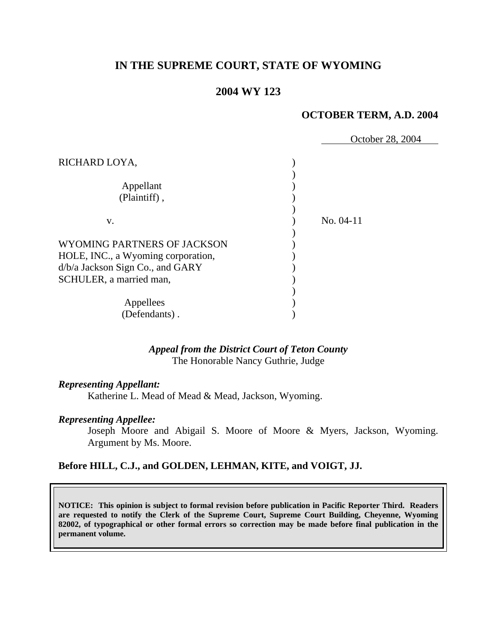# **IN THE SUPREME COURT, STATE OF WYOMING**

# **2004 WY 123**

### **OCTOBER TERM, A.D. 2004**

|                                    | October 28, 2004 |
|------------------------------------|------------------|
| RICHARD LOYA,                      |                  |
| Appellant                          |                  |
| (Plaintiff),                       |                  |
| V.                                 | $No. 04-11$      |
| WYOMING PARTNERS OF JACKSON        |                  |
| HOLE, INC., a Wyoming corporation, |                  |
| d/b/a Jackson Sign Co., and GARY   |                  |
| SCHULER, a married man,            |                  |
|                                    |                  |
| Appellees                          |                  |
| (Defendants).                      |                  |

# *Appeal from the District Court of Teton County* The Honorable Nancy Guthrie, Judge

#### *Representing Appellant:*

Katherine L. Mead of Mead & Mead, Jackson, Wyoming.

#### *Representing Appellee:*

Joseph Moore and Abigail S. Moore of Moore & Myers, Jackson, Wyoming. Argument by Ms. Moore.

# **Before HILL, C.J., and GOLDEN, LEHMAN, KITE, and VOIGT, JJ.**

**NOTICE: This opinion is subject to formal revision before publication in Pacific Reporter Third. Readers are requested to notify the Clerk of the Supreme Court, Supreme Court Building, Cheyenne, Wyoming 82002, of typographical or other formal errors so correction may be made before final publication in the permanent volume.**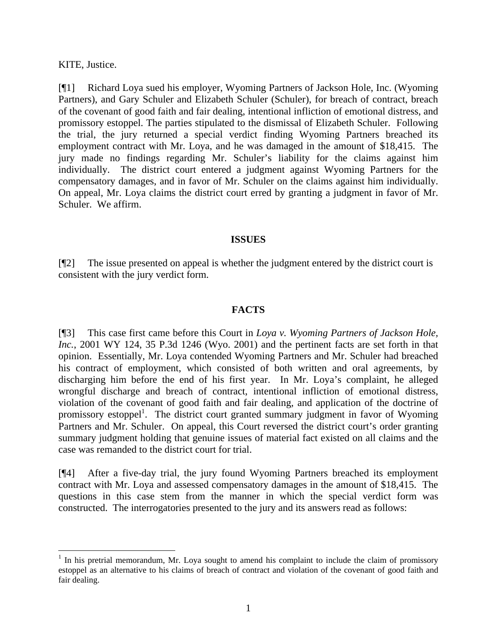### KITE, Justice.

[¶1] Richard Loya sued his employer, Wyoming Partners of Jackson Hole, Inc. (Wyoming Partners), and Gary Schuler and Elizabeth Schuler (Schuler), for breach of contract, breach of the covenant of good faith and fair dealing, intentional infliction of emotional distress, and promissory estoppel. The parties stipulated to the dismissal of Elizabeth Schuler. Following the trial, the jury returned a special verdict finding Wyoming Partners breached its employment contract with Mr. Loya, and he was damaged in the amount of \$18,415. The jury made no findings regarding Mr. Schuler's liability for the claims against him individually. The district court entered a judgment against Wyoming Partners for the compensatory damages, and in favor of Mr. Schuler on the claims against him individually. On appeal, Mr. Loya claims the district court erred by granting a judgment in favor of Mr. Schuler. We affirm.

# **ISSUES**

[¶2] The issue presented on appeal is whether the judgment entered by the district court is consistent with the jury verdict form.

# **FACTS**

[¶3] This case first came before this Court in *Loya v. Wyoming Partners of Jackson Hole, Inc.*, 2001 WY 124, 35 P.3d 1246 (Wyo. 2001) and the pertinent facts are set forth in that opinion. Essentially, Mr. Loya contended Wyoming Partners and Mr. Schuler had breached his contract of employment, which consisted of both written and oral agreements, by discharging him before the end of his first year. In Mr. Loya's complaint, he alleged wrongful discharge and breach of contract, intentional infliction of emotional distress, violation of the covenant of good faith and fair dealing, and application of the doctrine of promissory estoppel<sup>1</sup>. The district court granted summary judgment in favor of Wyoming Partners and Mr. Schuler. On appeal, this Court reversed the district court's order granting summary judgment holding that genuine issues of material fact existed on all claims and the case was remanded to the district court for trial.

[¶4] After a five-day trial, the jury found Wyoming Partners breached its employment contract with Mr. Loya and assessed compensatory damages in the amount of \$18,415. The questions in this case stem from the manner in which the special verdict form was constructed. The interrogatories presented to the jury and its answers read as follows:

 $<sup>1</sup>$  In his pretrial memorandum, Mr. Loya sought to amend his complaint to include the claim of promissory</sup> estoppel as an alternative to his claims of breach of contract and violation of the covenant of good faith and fair dealing.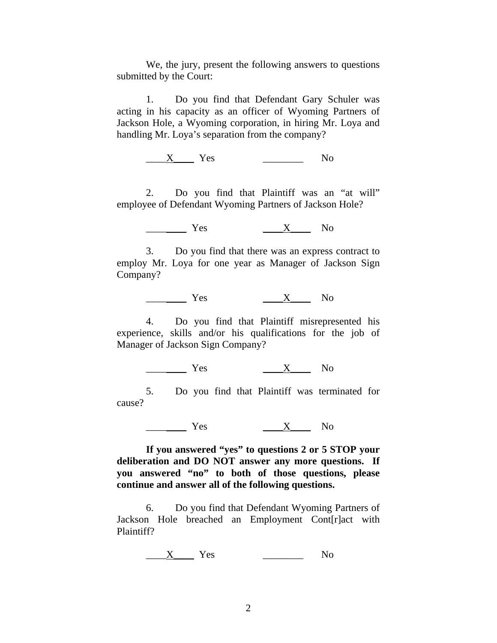We, the jury, present the following answers to questions submitted by the Court:

1. Do you find that Defendant Gary Schuler was acting in his capacity as an officer of Wyoming Partners of Jackson Hole, a Wyoming corporation, in hiring Mr. Loya and handling Mr. Loya's separation from the company?

 $\underline{X}$  Yes  $\underline{X}$  No

2. Do you find that Plaintiff was an "at will" employee of Defendant Wyoming Partners of Jackson Hole?

 $Yes$   $X$  No

3. Do you find that there was an express contract to employ Mr. Loya for one year as Manager of Jackson Sign Company?

 $\frac{X}{X}$  No

4. Do you find that Plaintiff misrepresented his experience, skills and/or his qualifications for the job of Manager of Jackson Sign Company?

 $\frac{X}{X}$  No

5. Do you find that Plaintiff was terminated for cause?

 $Yes$   $X$   $No$ 

**If you answered "yes" to questions 2 or 5 STOP your deliberation and DO NOT answer any more questions. If you answered "no" to both of those questions, please continue and answer all of the following questions.** 

6. Do you find that Defendant Wyoming Partners of Jackson Hole breached an Employment Cont[r]act with Plaintiff?

 $\underline{X}$  Yes  $\underline{X}$  No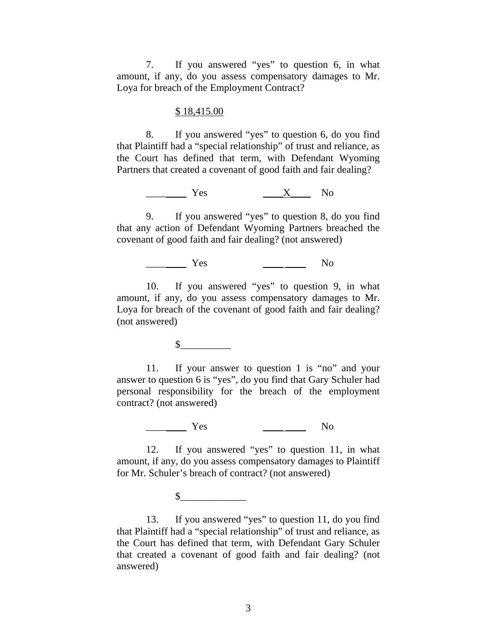7. If you answered "yes" to question 6, in what amount, if any, do you assess compensatory damages to Mr. Loya for breach of the Employment Contract?

#### \$ 18,415.00

8. If you answered "yes" to question 6, do you find that Plaintiff had a "special relationship" of trust and reliance, as the Court has defined that term, with Defendant Wyoming Partners that created a covenant of good faith and fair dealing?

 $\overline{\phantom{a}}$  Yes  $\overline{\phantom{a}}$  No

9. If you answered "yes" to question 8, do you find that any action of Defendant Wyoming Partners breached the covenant of good faith and fair dealing? (not answered)

\_\_\_\_\_\_\_\_\_\_ Yes \_\_\_\_\_\_\_\_\_\_\_\_ No

10. If you answered "yes" to question 9, in what amount, if any, do you assess compensatory damages to Mr. Loya for breach of the covenant of good faith and fair dealing? (not answered)

 $\mathbf S$ 

11. If your answer to question 1 is "no" and your answer to question 6 is "yes", do you find that Gary Schuler had personal responsibility for the breach of the employment contract? (not answered)

 $Yes$  No

12. If you answered "yes" to question 11, in what amount, if any, do you assess compensatory damages to Plaintiff for Mr. Schuler's breach of contract? (not answered)

 $\sim$ 

13. If you answered "yes" to question 11, do you find that Plaintiff had a "special relationship" of trust and reliance, as the Court has defined that term, with Defendant Gary Schuler that created a covenant of good faith and fair dealing? (not answered)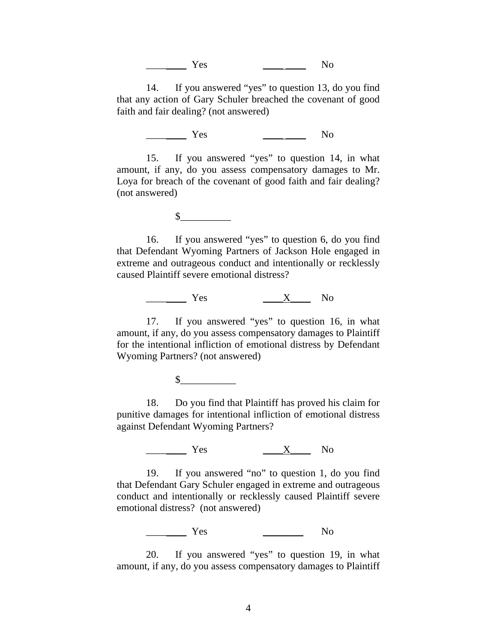$Yes$  No

14. If you answered "yes" to question 13, do you find that any action of Gary Schuler breached the covenant of good faith and fair dealing? (not answered)

 $Yes$  No

15. If you answered "yes" to question 14, in what amount, if any, do you assess compensatory damages to Mr. Loya for breach of the covenant of good faith and fair dealing? (not answered)

 $\mathbb S$ 

16. If you answered "yes" to question 6, do you find that Defendant Wyoming Partners of Jackson Hole engaged in extreme and outrageous conduct and intentionally or recklessly caused Plaintiff severe emotional distress?

 $\frac{X}{X}$  No

17. If you answered "yes" to question 16, in what amount, if any, do you assess compensatory damages to Plaintiff for the intentional infliction of emotional distress by Defendant Wyoming Partners? (not answered)

 $\sim$ 

18. Do you find that Plaintiff has proved his claim for punitive damages for intentional infliction of emotional distress against Defendant Wyoming Partners?

 $\frac{X}{X}$  No

19. If you answered "no" to question 1, do you find that Defendant Gary Schuler engaged in extreme and outrageous conduct and intentionally or recklessly caused Plaintiff severe emotional distress? (not answered)

\_\_\_\_\_\_\_\_ Yes \_\_\_\_\_\_\_\_ No

20. If you answered "yes" to question 19, in what amount, if any, do you assess compensatory damages to Plaintiff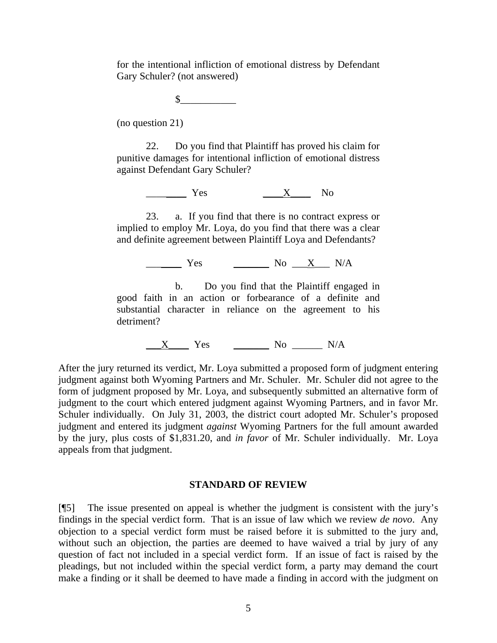for the intentional infliction of emotional distress by Defendant Gary Schuler? (not answered)

 $\mathbb S$ 

(no question 21)

22. Do you find that Plaintiff has proved his claim for punitive damages for intentional infliction of emotional distress against Defendant Gary Schuler?

 $\frac{X}{Y}$  Yes  $\frac{X}{Y}$  No

23. a. If you find that there is no contract express or implied to employ Mr. Loya, do you find that there was a clear and definite agreement between Plaintiff Loya and Defendants?

\_\_\_\_\_\_\_ Yes \_\_\_\_\_\_\_ No \_\_\_X\_\_\_ N/A

b. Do you find that the Plaintiff engaged in good faith in an action or forbearance of a definite and substantial character in reliance on the agreement to his detriment?

 $X$  Yes  $N_0$  No  $N/A$ 

After the jury returned its verdict, Mr. Loya submitted a proposed form of judgment entering judgment against both Wyoming Partners and Mr. Schuler. Mr. Schuler did not agree to the form of judgment proposed by Mr. Loya, and subsequently submitted an alternative form of judgment to the court which entered judgment against Wyoming Partners, and in favor Mr. Schuler individually. On July 31, 2003, the district court adopted Mr. Schuler's proposed judgment and entered its judgment *against* Wyoming Partners for the full amount awarded by the jury, plus costs of \$1,831.20, and *in favor* of Mr. Schuler individually. Mr. Loya appeals from that judgment.

#### **STANDARD OF REVIEW**

[¶5] The issue presented on appeal is whether the judgment is consistent with the jury's findings in the special verdict form. That is an issue of law which we review *de novo*. Any objection to a special verdict form must be raised before it is submitted to the jury and, without such an objection, the parties are deemed to have waived a trial by jury of any question of fact not included in a special verdict form. If an issue of fact is raised by the pleadings, but not included within the special verdict form, a party may demand the court make a finding or it shall be deemed to have made a finding in accord with the judgment on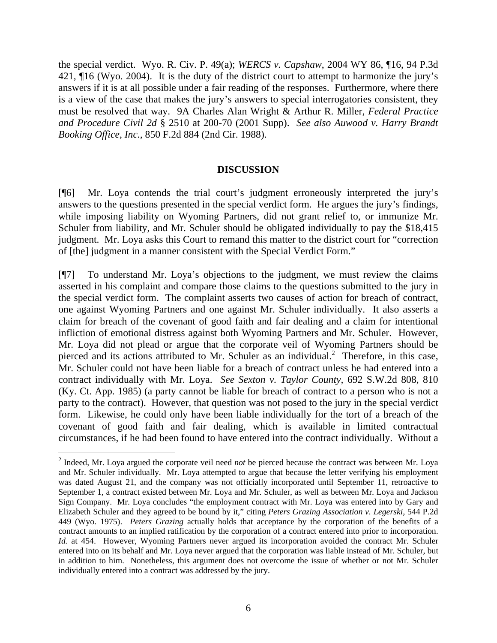the special verdict. Wyo. R. Civ. P. 49(a); *WERCS v. Capshaw*, 2004 WY 86, ¶16, 94 P.3d 421, ¶16 (Wyo. 2004). It is the duty of the district court to attempt to harmonize the jury's answers if it is at all possible under a fair reading of the responses. Furthermore, where there is a view of the case that makes the jury's answers to special interrogatories consistent, they must be resolved that way. 9A Charles Alan Wright & Arthur R. Miller, *Federal Practice and Procedure Civil 2d* § 2510 at 200-70 (2001 Supp). *See also Auwood v. Harry Brandt Booking Office, Inc.,* 850 F.2d 884 (2nd Cir. 1988).

### **DISCUSSION**

[¶6] Mr. Loya contends the trial court's judgment erroneously interpreted the jury's answers to the questions presented in the special verdict form. He argues the jury's findings, while imposing liability on Wyoming Partners, did not grant relief to, or immunize Mr. Schuler from liability, and Mr. Schuler should be obligated individually to pay the \$18,415 judgment. Mr. Loya asks this Court to remand this matter to the district court for "correction of [the] judgment in a manner consistent with the Special Verdict Form."

[¶7] To understand Mr. Loya's objections to the judgment, we must review the claims asserted in his complaint and compare those claims to the questions submitted to the jury in the special verdict form. The complaint asserts two causes of action for breach of contract, one against Wyoming Partners and one against Mr. Schuler individually. It also asserts a claim for breach of the covenant of good faith and fair dealing and a claim for intentional infliction of emotional distress against both Wyoming Partners and Mr. Schuler. However, Mr. Loya did not plead or argue that the corporate veil of Wyoming Partners should be pierced and its actions attributed to Mr. Schuler as an individual.<sup>2</sup> Therefore, in this case, Mr. Schuler could not have been liable for a breach of contract unless he had entered into a contract individually with Mr. Loya. *See Sexton v. Taylor County,* 692 S.W.2d 808, 810 (Ky. Ct. App. 1985) (a party cannot be liable for breach of contract to a person who is not a party to the contract). However, that question was not posed to the jury in the special verdict form. Likewise, he could only have been liable individually for the tort of a breach of the covenant of good faith and fair dealing, which is available in limited contractual circumstances, if he had been found to have entered into the contract individually. Without a

 $\overline{a}$ 

<sup>2</sup> Indeed, Mr. Loya argued the corporate veil need *not* be pierced because the contract was between Mr. Loya and Mr. Schuler individually. Mr. Loya attempted to argue that because the letter verifying his employment was dated August 21, and the company was not officially incorporated until September 11, retroactive to September 1, a contract existed between Mr. Loya and Mr. Schuler, as well as between Mr. Loya and Jackson Sign Company. Mr. Loya concludes "the employment contract with Mr. Loya was entered into by Gary and Elizabeth Schuler and they agreed to be bound by it," citing *Peters Grazing Association v. Legerski,* 544 P.2d 449 (Wyo. 1975). *Peters Grazing* actually holds that acceptance by the corporation of the benefits of a contract amounts to an implied ratification by the corporation of a contract entered into prior to incorporation. *Id.* at 454. However, Wyoming Partners never argued its incorporation avoided the contract Mr. Schuler entered into on its behalf and Mr. Loya never argued that the corporation was liable instead of Mr. Schuler, but in addition to him. Nonetheless, this argument does not overcome the issue of whether or not Mr. Schuler individually entered into a contract was addressed by the jury.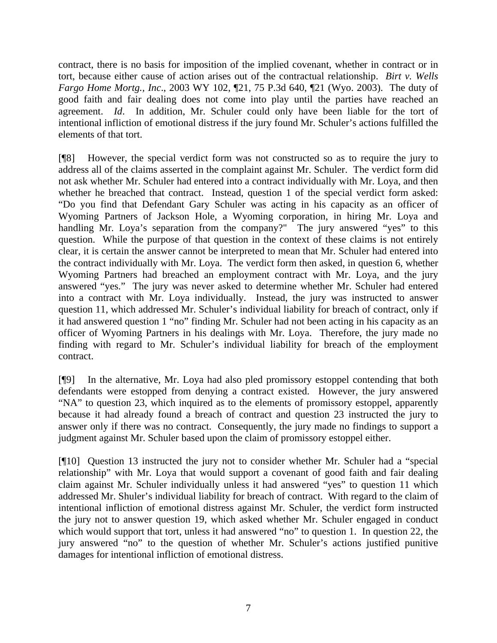contract, there is no basis for imposition of the implied covenant, whether in contract or in tort, because either cause of action arises out of the contractual relationship. *Birt v. Wells Fargo Home Mortg., Inc*., 2003 WY 102, ¶21, 75 P.3d 640, ¶21 (Wyo. 2003). The duty of good faith and fair dealing does not come into play until the parties have reached an agreement. *Id*. In addition, Mr. Schuler could only have been liable for the tort of intentional infliction of emotional distress if the jury found Mr. Schuler's actions fulfilled the elements of that tort.

[¶8] However, the special verdict form was not constructed so as to require the jury to address all of the claims asserted in the complaint against Mr. Schuler. The verdict form did not ask whether Mr. Schuler had entered into a contract individually with Mr. Loya, and then whether he breached that contract. Instead, question 1 of the special verdict form asked: "Do you find that Defendant Gary Schuler was acting in his capacity as an officer of Wyoming Partners of Jackson Hole, a Wyoming corporation, in hiring Mr. Loya and handling Mr. Loya's separation from the company?" The jury answered "yes" to this question. While the purpose of that question in the context of these claims is not entirely clear, it is certain the answer cannot be interpreted to mean that Mr. Schuler had entered into the contract individually with Mr. Loya. The verdict form then asked, in question 6, whether Wyoming Partners had breached an employment contract with Mr. Loya, and the jury answered "yes." The jury was never asked to determine whether Mr. Schuler had entered into a contract with Mr. Loya individually. Instead, the jury was instructed to answer question 11, which addressed Mr. Schuler's individual liability for breach of contract, only if it had answered question 1 "no" finding Mr. Schuler had not been acting in his capacity as an officer of Wyoming Partners in his dealings with Mr. Loya. Therefore, the jury made no finding with regard to Mr. Schuler's individual liability for breach of the employment contract.

[¶9] In the alternative, Mr. Loya had also pled promissory estoppel contending that both defendants were estopped from denying a contract existed. However, the jury answered "NA" to question 23, which inquired as to the elements of promissory estoppel, apparently because it had already found a breach of contract and question 23 instructed the jury to answer only if there was no contract. Consequently, the jury made no findings to support a judgment against Mr. Schuler based upon the claim of promissory estoppel either.

[¶10] Question 13 instructed the jury not to consider whether Mr. Schuler had a "special relationship" with Mr. Loya that would support a covenant of good faith and fair dealing claim against Mr. Schuler individually unless it had answered "yes" to question 11 which addressed Mr. Shuler's individual liability for breach of contract. With regard to the claim of intentional infliction of emotional distress against Mr. Schuler, the verdict form instructed the jury not to answer question 19, which asked whether Mr. Schuler engaged in conduct which would support that tort, unless it had answered "no" to question 1. In question 22, the jury answered "no" to the question of whether Mr. Schuler's actions justified punitive damages for intentional infliction of emotional distress.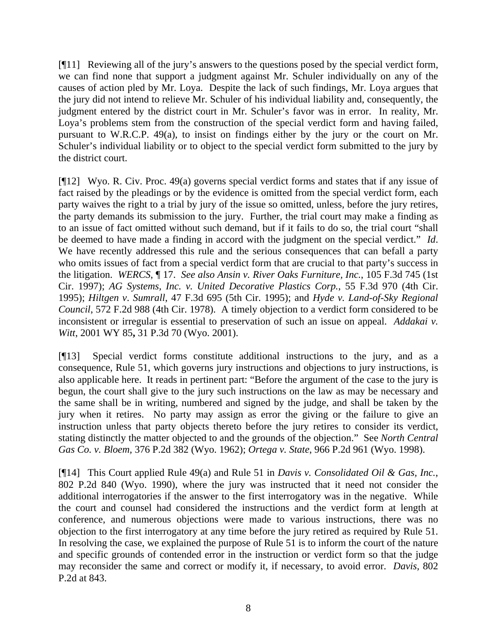[¶11] Reviewing all of the jury's answers to the questions posed by the special verdict form, we can find none that support a judgment against Mr. Schuler individually on any of the causes of action pled by Mr. Loya. Despite the lack of such findings, Mr. Loya argues that the jury did not intend to relieve Mr. Schuler of his individual liability and, consequently, the judgment entered by the district court in Mr. Schuler's favor was in error. In reality, Mr. Loya's problems stem from the construction of the special verdict form and having failed, pursuant to W.R.C.P. 49(a), to insist on findings either by the jury or the court on Mr. Schuler's individual liability or to object to the special verdict form submitted to the jury by the district court.

[¶12] Wyo. R. Civ. Proc. 49(a) governs special verdict forms and states that if any issue of fact raised by the pleadings or by the evidence is omitted from the special verdict form, each party waives the right to a trial by jury of the issue so omitted, unless, before the jury retires, the party demands its submission to the jury. Further, the trial court may make a finding as to an issue of fact omitted without such demand, but if it fails to do so, the trial court "shall be deemed to have made a finding in accord with the judgment on the special verdict." *Id*. We have recently addressed this rule and the serious consequences that can befall a party who omits issues of fact from a special verdict form that are crucial to that party's success in the litigation. *WERCS*, ¶ 17. *See also Ansin v. River Oaks Furniture, Inc.*, 105 F.3d 745 (1st Cir. 1997); *AG Systems, Inc. v. United Decorative Plastics Corp.*, 55 F.3d 970 (4th Cir. 1995); *Hiltgen v*. *Sumrall*, 47 F.3d 695 (5th Cir. 1995); and *Hyde v. Land-of-Sky Regional Council*, 572 F.2d 988 (4th Cir. 1978). A timely objection to a verdict form considered to be inconsistent or irregular is essential to preservation of such an issue on appeal. *Addakai v. Witt*, 2001 WY 85**,** 31 P.3d 70 (Wyo. 2001).

[¶13] Special verdict forms constitute additional instructions to the jury, and as a consequence, Rule 51, which governs jury instructions and objections to jury instructions, is also applicable here. It reads in pertinent part: "Before the argument of the case to the jury is begun, the court shall give to the jury such instructions on the law as may be necessary and the same shall be in writing, numbered and signed by the judge, and shall be taken by the jury when it retires. No party may assign as error the giving or the failure to give an instruction unless that party objects thereto before the jury retires to consider its verdict, stating distinctly the matter objected to and the grounds of the objection." See *North Central Gas Co. v. Bloem,* 376 P.2d 382 (Wyo. 1962); *Ortega v. State*, 966 P.2d 961 (Wyo. 1998).

[¶14] This Court applied Rule 49(a) and Rule 51 in *Davis v. Consolidated Oil & Gas, Inc.*, 802 P.2d 840 (Wyo. 1990), where the jury was instructed that it need not consider the additional interrogatories if the answer to the first interrogatory was in the negative. While the court and counsel had considered the instructions and the verdict form at length at conference, and numerous objections were made to various instructions, there was no objection to the first interrogatory at any time before the jury retired as required by Rule 51. In resolving the case, we explained the purpose of Rule 51 is to inform the court of the nature and specific grounds of contended error in the instruction or verdict form so that the judge may reconsider the same and correct or modify it, if necessary, to avoid error. *Davis,* 802 P.2d at 843.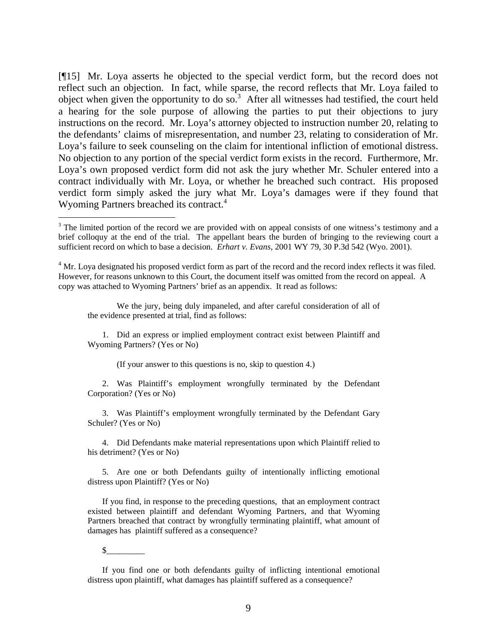[¶15] Mr. Loya asserts he objected to the special verdict form, but the record does not reflect such an objection. In fact, while sparse, the record reflects that Mr. Loya failed to object when given the opportunity to do so.<sup>3</sup> After all witnesses had testified, the court held a hearing for the sole purpose of allowing the parties to put their objections to jury instructions on the record. Mr. Loya's attorney objected to instruction number 20, relating to the defendants' claims of misrepresentation, and number 23, relating to consideration of Mr. Loya's failure to seek counseling on the claim for intentional infliction of emotional distress. No objection to any portion of the special verdict form exists in the record. Furthermore, Mr. Loya's own proposed verdict form did not ask the jury whether Mr. Schuler entered into a contract individually with Mr. Loya, or whether he breached such contract. His proposed verdict form simply asked the jury what Mr. Loya's damages were if they found that Wyoming Partners breached its contract.<sup>4</sup>

We the jury, being duly impaneled, and after careful consideration of all of the evidence presented at trial, find as follows:

1. Did an express or implied employment contract exist between Plaintiff and Wyoming Partners? (Yes or No)

(If your answer to this questions is no, skip to question 4.)

2. Was Plaintiff's employment wrongfully terminated by the Defendant Corporation? (Yes or No)

3. Was Plaintiff's employment wrongfully terminated by the Defendant Gary Schuler? (Yes or No)

4. Did Defendants make material representations upon which Plaintiff relied to his detriment? (Yes or No)

5. Are one or both Defendants guilty of intentionally inflicting emotional distress upon Plaintiff? (Yes or No)

If you find, in response to the preceding questions, that an employment contract existed between plaintiff and defendant Wyoming Partners, and that Wyoming Partners breached that contract by wrongfully terminating plaintiff, what amount of damages has plaintiff suffered as a consequence?

 $\mathbb{S}^-$ 

 $\overline{a}$ 

If you find one or both defendants guilty of inflicting intentional emotional distress upon plaintiff, what damages has plaintiff suffered as a consequence?

<sup>&</sup>lt;sup>3</sup> The limited portion of the record we are provided with on appeal consists of one witness's testimony and a brief colloquy at the end of the trial. The appellant bears the burden of bringing to the reviewing court a sufficient record on which to base a decision. *Erhart v. Evans,* 2001 WY 79, 30 P.3d 542 (Wyo. 2001).

 $4$  Mr. Loya designated his proposed verdict form as part of the record and the record index reflects it was filed. However, for reasons unknown to this Court, the document itself was omitted from the record on appeal. A copy was attached to Wyoming Partners' brief as an appendix. It read as follows: